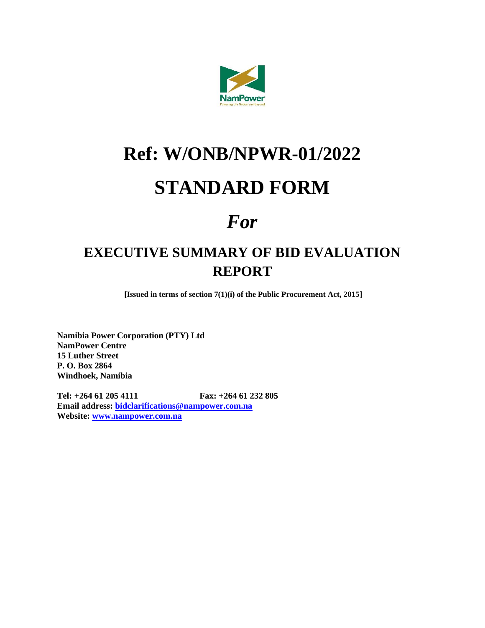

# **Ref: W/ONB/NPWR-01/2022**

## **STANDARD FORM**

## *For*

### **EXECUTIVE SUMMARY OF BID EVALUATION REPORT**

**[Issued in terms of section 7(1)(i) of the Public Procurement Act, 2015]**

**Namibia Power Corporation (PTY) Ltd NamPower Centre 15 Luther Street P. O. Box 2864 Windhoek, Namibia**

**Tel: +264 61 205 4111 Fax: +264 61 232 805 Email address: [bidclarifications@nampower.com.na](mailto:bidclarifications@nampower.com.na) Website: [www.nampower.com.na](http://www.nampower.com.na/)**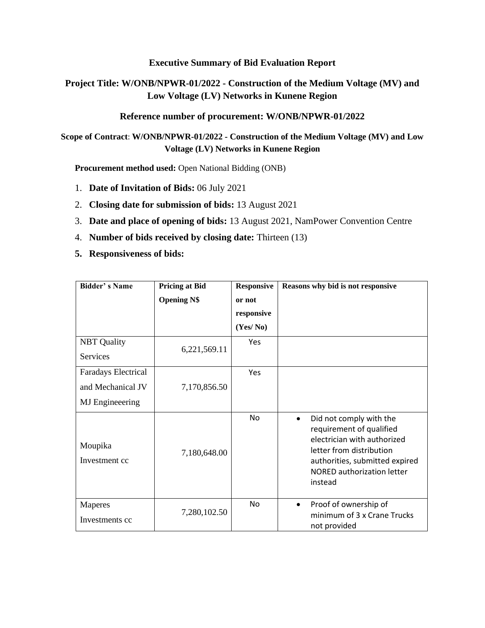#### **Executive Summary of Bid Evaluation Report**

#### **Project Title: W/ONB/NPWR-01/2022 - Construction of the Medium Voltage (MV) and Low Voltage (LV) Networks in Kunene Region**

#### **Reference number of procurement: W/ONB/NPWR-01/2022**

**Scope of Contract**: **W/ONB/NPWR-01/2022 - Construction of the Medium Voltage (MV) and Low Voltage (LV) Networks in Kunene Region**

**Procurement method used:** Open National Bidding (ONB)

- 1. **Date of Invitation of Bids:** 06 July 2021
- 2. **Closing date for submission of bids:** 13 August 2021
- 3. **Date and place of opening of bids:** 13 August 2021, NamPower Convention Centre
- 4. **Number of bids received by closing date:** Thirteen (13)
- **5. Responsiveness of bids:**

| <b>Bidder's Name</b>      | <b>Pricing at Bid</b> | <b>Responsive</b> | Reasons why bid is not responsive                                                                                                                                                                             |  |  |
|---------------------------|-----------------------|-------------------|---------------------------------------------------------------------------------------------------------------------------------------------------------------------------------------------------------------|--|--|
|                           | <b>Opening N\$</b>    | or not            |                                                                                                                                                                                                               |  |  |
|                           |                       | responsive        |                                                                                                                                                                                                               |  |  |
|                           |                       | (Yes/No)          |                                                                                                                                                                                                               |  |  |
| <b>NBT</b> Quality        |                       | Yes               |                                                                                                                                                                                                               |  |  |
| <b>Services</b>           | 6,221,569.11          |                   |                                                                                                                                                                                                               |  |  |
| Faradays Electrical       |                       | Yes               |                                                                                                                                                                                                               |  |  |
| and Mechanical JV         | 7,170,856.50          |                   |                                                                                                                                                                                                               |  |  |
| <b>MJ</b> Engineeering    |                       |                   |                                                                                                                                                                                                               |  |  |
| Moupika<br>Investment cc  | 7,180,648.00          | No                | Did not comply with the<br>$\bullet$<br>requirement of qualified<br>electrician with authorized<br>letter from distribution<br>authorities, submitted expired<br><b>NORED authorization letter</b><br>instead |  |  |
| Maperes<br>Investments cc | 7,280,102.50          | No                | Proof of ownership of<br>$\bullet$<br>minimum of 3 x Crane Trucks<br>not provided                                                                                                                             |  |  |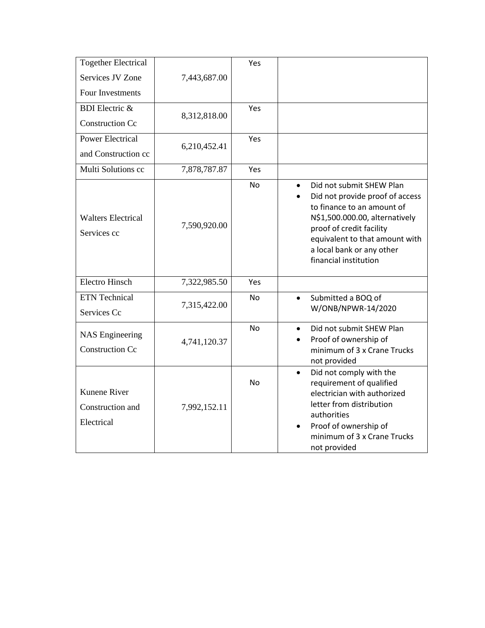| <b>Together Electrical</b>                     |              | Yes       |                                                                                                                                                                                                                                                              |
|------------------------------------------------|--------------|-----------|--------------------------------------------------------------------------------------------------------------------------------------------------------------------------------------------------------------------------------------------------------------|
| Services JV Zone                               | 7,443,687.00 |           |                                                                                                                                                                                                                                                              |
| Four Investments                               |              |           |                                                                                                                                                                                                                                                              |
| <b>BDI</b> Electric &                          | 8,312,818.00 | Yes       |                                                                                                                                                                                                                                                              |
| <b>Construction Cc</b>                         |              |           |                                                                                                                                                                                                                                                              |
| <b>Power Electrical</b>                        | 6,210,452.41 | Yes       |                                                                                                                                                                                                                                                              |
| and Construction cc                            |              |           |                                                                                                                                                                                                                                                              |
| Multi Solutions cc                             | 7,878,787.87 | Yes       |                                                                                                                                                                                                                                                              |
| <b>Walters Electrical</b><br>Services cc       | 7,590,920.00 | <b>No</b> | Did not submit SHEW Plan<br>$\bullet$<br>Did not provide proof of access<br>to finance to an amount of<br>N\$1,500.000.00, alternatively<br>proof of credit facility<br>equivalent to that amount with<br>a local bank or any other<br>financial institution |
| <b>Electro Hinsch</b>                          | 7,322,985.50 | Yes       |                                                                                                                                                                                                                                                              |
| <b>ETN</b> Technical                           | 7,315,422.00 | No        | Submitted a BOQ of<br>$\bullet$                                                                                                                                                                                                                              |
| Services Cc                                    |              |           | W/ONB/NPWR-14/2020                                                                                                                                                                                                                                           |
| <b>NAS Engineering</b>                         |              | <b>No</b> | Did not submit SHEW Plan<br>$\bullet$<br>Proof of ownership of                                                                                                                                                                                               |
| <b>Construction Cc</b>                         | 4,741,120.37 |           | minimum of 3 x Crane Trucks<br>not provided                                                                                                                                                                                                                  |
| Kunene River<br>Construction and<br>Electrical | 7,992,152.11 | No        | Did not comply with the<br>$\bullet$<br>requirement of qualified<br>electrician with authorized<br>letter from distribution<br>authorities<br>Proof of ownership of<br>minimum of 3 x Crane Trucks<br>not provided                                           |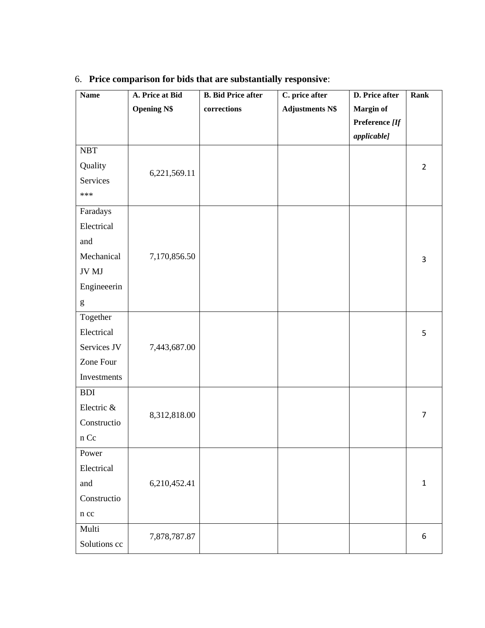| <b>Name</b>          | A. Price at Bid    | <b>B.</b> Bid Price after | C. price after         | D. Price after     | <b>Rank</b>    |
|----------------------|--------------------|---------------------------|------------------------|--------------------|----------------|
|                      | <b>Opening N\$</b> | $corrections$             | <b>Adjustments N\$</b> | Margin of          |                |
|                      |                    |                           |                        | Preference [If     |                |
|                      |                    |                           |                        | <i>applicable]</i> |                |
| $\operatorname{NBT}$ |                    |                           |                        |                    |                |
| Quality              | 6,221,569.11       |                           |                        |                    | $\overline{2}$ |
| Services             |                    |                           |                        |                    |                |
| ***                  |                    |                           |                        |                    |                |
| Faradays             |                    |                           |                        |                    |                |
| Electrical           |                    |                           |                        |                    |                |
| and                  |                    |                           |                        |                    |                |
| Mechanical           | 7,170,856.50       |                           |                        |                    | 3              |
| JV MJ                |                    |                           |                        |                    |                |
| Engineeerin          |                    |                           |                        |                    |                |
| g                    |                    |                           |                        |                    |                |
| Together             |                    |                           |                        |                    |                |
| Electrical           |                    |                           |                        |                    | 5              |
| Services JV          | 7,443,687.00       |                           |                        |                    |                |
| Zone Four            |                    |                           |                        |                    |                |
| Investments          |                    |                           |                        |                    |                |
| <b>BDI</b>           |                    |                           |                        |                    |                |
| Electric &           |                    |                           |                        |                    |                |
| Constructio          | 8,312,818.00       |                           |                        |                    | $\overline{7}$ |
| n Cc                 |                    |                           |                        |                    |                |
| Power                |                    |                           |                        |                    |                |
| Electrical           |                    |                           |                        |                    |                |
| and                  | 6,210,452.41       |                           |                        |                    | $\mathbf{1}$   |
| Constructio          |                    |                           |                        |                    |                |
| n cc                 |                    |                           |                        |                    |                |
| Multi                |                    |                           |                        |                    |                |
| Solutions cc         | 7,878,787.87       |                           |                        |                    | 6              |

### 6. **Price comparison for bids that are substantially responsive**: